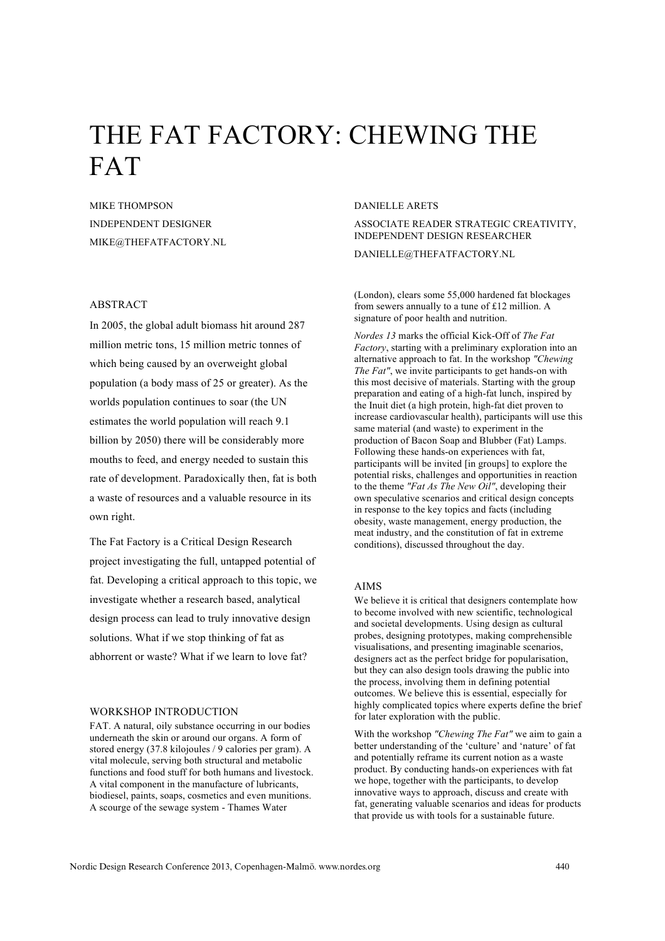# THE FAT FACTORY: CHEWING THE FAT

MIKE THOMPSON INDEPENDENT DESIGNER MIKE@THEFATFACTORY.NL

## ABSTRACT

In 2005, the global adult biomass hit around 287 million metric tons, 15 million metric tonnes of which being caused by an overweight global population (a body mass of 25 or greater). As the worlds population continues to soar (the UN estimates the world population will reach 9.1 billion by 2050) there will be considerably more mouths to feed, and energy needed to sustain this rate of development. Paradoxically then, fat is both a waste of resources and a valuable resource in its own right.

The Fat Factory is a Critical Design Research project investigating the full, untapped potential of fat. Developing a critical approach to this topic, we investigate whether a research based, analytical design process can lead to truly innovative design solutions. What if we stop thinking of fat as abhorrent or waste? What if we learn to love fat?

## WORKSHOP INTRODUCTION

FAT. A natural, oily substance occurring in our bodies underneath the skin or around our organs. A form of stored energy (37.8 kilojoules / 9 calories per gram). A vital molecule, serving both structural and metabolic functions and food stuff for both humans and livestock. A vital component in the manufacture of lubricants, biodiesel, paints, soaps, cosmetics and even munitions. A scourge of the sewage system - Thames Water

## DANIELLE ARETS

ASSOCIATE READER STRATEGIC CREATIVITY, INDEPENDENT DESIGN RESEARCHER DANIELLE@THEFATFACTORY.NL

(London), clears some 55,000 hardened fat blockages from sewers annually to a tune of £12 million. A signature of poor health and nutrition.

*Nordes 13* marks the official Kick-Off of *The Fat Factory*, starting with a preliminary exploration into an alternative approach to fat. In the workshop *"Chewing The Fat"*, we invite participants to get hands-on with this most decisive of materials. Starting with the group preparation and eating of a high-fat lunch, inspired by the Inuit diet (a high protein, high-fat diet proven to increase cardiovascular health), participants will use this same material (and waste) to experiment in the production of Bacon Soap and Blubber (Fat) Lamps. Following these hands-on experiences with fat, participants will be invited [in groups] to explore the potential risks, challenges and opportunities in reaction to the theme *"Fat As The New Oil"*, developing their own speculative scenarios and critical design concepts in response to the key topics and facts (including obesity, waste management, energy production, the meat industry, and the constitution of fat in extreme conditions), discussed throughout the day.

## AIMS

We believe it is critical that designers contemplate how to become involved with new scientific, technological and societal developments. Using design as cultural probes, designing prototypes, making comprehensible visualisations, and presenting imaginable scenarios, designers act as the perfect bridge for popularisation, but they can also design tools drawing the public into the process, involving them in defining potential outcomes. We believe this is essential, especially for highly complicated topics where experts define the brief for later exploration with the public.

With the workshop *"Chewing The Fat"* we aim to gain a better understanding of the 'culture' and 'nature' of fat and potentially reframe its current notion as a waste product. By conducting hands-on experiences with fat we hope, together with the participants, to develop innovative ways to approach, discuss and create with fat, generating valuable scenarios and ideas for products that provide us with tools for a sustainable future.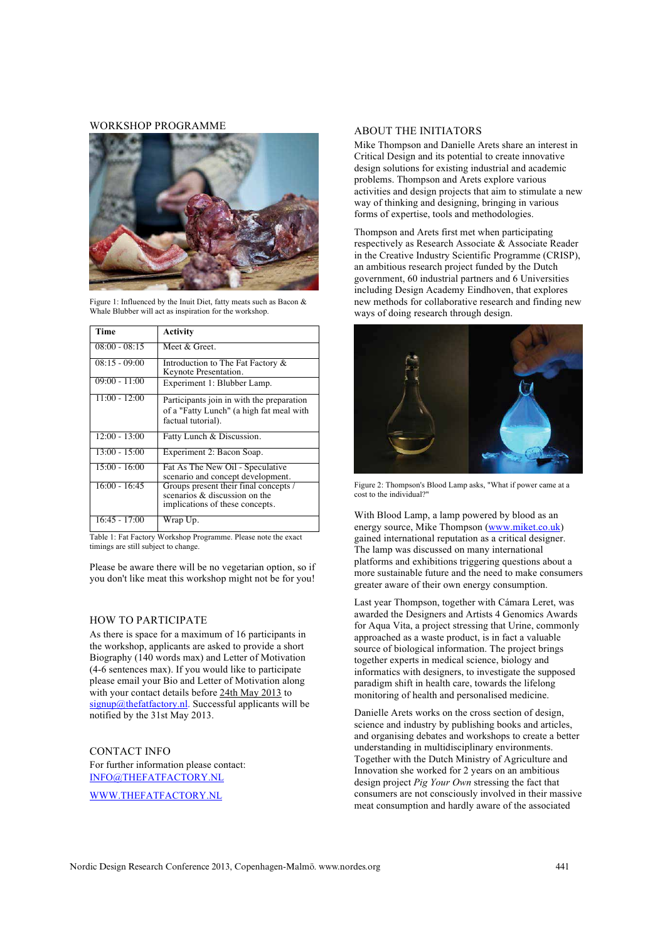#### WORKSHOP PROGRAMME



Figure 1: Influenced by the Inuit Diet, fatty meats such as Bacon & Whale Blubber will act as inspiration for the workshop.

| Time            | <b>Activity</b>                                                                                             |
|-----------------|-------------------------------------------------------------------------------------------------------------|
| $08:00 - 08:15$ | Meet & Greet.                                                                                               |
| $08:15 - 09:00$ | Introduction to The Fat Factory &<br>Keynote Presentation.                                                  |
| $09:00 - 11:00$ | Experiment 1: Blubber Lamp.                                                                                 |
| $11:00 - 12:00$ | Participants join in with the preparation<br>of a "Fatty Lunch" (a high fat meal with<br>factual tutorial). |
| $12:00 - 13:00$ | Fatty Lunch & Discussion.                                                                                   |
| $13:00 - 15:00$ | Experiment 2: Bacon Soap.                                                                                   |
| $15:00 - 16:00$ | Fat As The New Oil - Speculative<br>scenario and concept development.                                       |
| $16:00 - 16:45$ | Groups present their final concepts /<br>scenarios & discussion on the<br>implications of these concepts.   |
| $16:45 - 17:00$ | Wrap Up.                                                                                                    |

Table 1: Fat Factory Workshop Programme. Please note the exact timings are still subject to change.

Please be aware there will be no vegetarian option, so if you don't like meat this workshop might not be for you!

#### HOW TO PARTICIPATE

As there is space for a maximum of 16 participants in the workshop, applicants are asked to provide a short Biography (140 words max) and Letter of Motivation (4-6 sentences max). If you would like to participate please email your Bio and Letter of Motivation along with your contact details before 24th May 2013 to  $signup@thefaffactory.nl$ . Successful applicants will be notified by the 31st May 2013.

CONTACT INFO For further information please contact: INFO@THEFATFACTORY.NL WWW.THEFATFACTORY.NL

## ABOUT THE INITIATORS

Mike Thompson and Danielle Arets share an interest in Critical Design and its potential to create innovative design solutions for existing industrial and academic problems. Thompson and Arets explore various activities and design projects that aim to stimulate a new way of thinking and designing, bringing in various forms of expertise, tools and methodologies.

Thompson and Arets first met when participating respectively as Research Associate & Associate Reader in the Creative Industry Scientific Programme (CRISP), an ambitious research project funded by the Dutch government, 60 industrial partners and 6 Universities including Design Academy Eindhoven, that explores new methods for collaborative research and finding new ways of doing research through design.



Figure 2: Thompson's Blood Lamp asks, "What if power came at a cost to the individual?"

With Blood Lamp, a lamp powered by blood as an energy source, Mike Thompson (www.miket.co.uk) gained international reputation as a critical designer. The lamp was discussed on many international platforms and exhibitions triggering questions about a more sustainable future and the need to make consumers greater aware of their own energy consumption.

Last year Thompson, together with Cámara Leret, was awarded the Designers and Artists 4 Genomics Awards for Aqua Vita, a project stressing that Urine, commonly approached as a waste product, is in fact a valuable source of biological information. The project brings together experts in medical science, biology and informatics with designers, to investigate the supposed paradigm shift in health care, towards the lifelong monitoring of health and personalised medicine.

Danielle Arets works on the cross section of design, science and industry by publishing books and articles, and organising debates and workshops to create a better understanding in multidisciplinary environments. Together with the Dutch Ministry of Agriculture and Innovation she worked for 2 years on an ambitious design project *Pig Your Own* stressing the fact that consumers are not consciously involved in their massive meat consumption and hardly aware of the associated